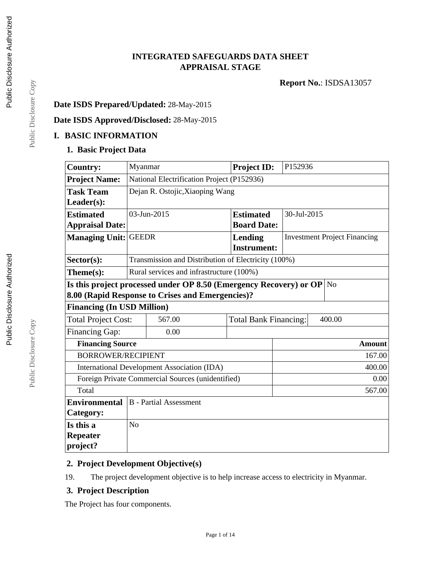# **INTEGRATED SAFEGUARDS DATA SHEET APPRAISAL STAGE**

**Report No.**: ISDSA13057

# **Date ISDS Prepared/Updated:** 28-May-2015

# **Date ISDS Approved/Disclosed:** 28-May-2015

## **I. BASIC INFORMATION**

#### **1. Basic Project Data**

| <b>Country:</b>                   | Myanmar                                                                                                                           |                                            |  | <b>Project ID:</b>                                  | P152936     |        |                                     |
|-----------------------------------|-----------------------------------------------------------------------------------------------------------------------------------|--------------------------------------------|--|-----------------------------------------------------|-------------|--------|-------------------------------------|
| <b>Project Name:</b>              |                                                                                                                                   | National Electrification Project (P152936) |  |                                                     |             |        |                                     |
| <b>Task Team</b>                  |                                                                                                                                   | Dejan R. Ostojic, Xiaoping Wang            |  |                                                     |             |        |                                     |
| Leader(s):                        |                                                                                                                                   |                                            |  |                                                     |             |        |                                     |
| <b>Estimated</b>                  |                                                                                                                                   | 03-Jun-2015                                |  | <b>Estimated</b>                                    | 30-Jul-2015 |        |                                     |
| <b>Appraisal Date:</b>            |                                                                                                                                   |                                            |  | <b>Board Date:</b>                                  |             |        |                                     |
| <b>Managing Unit:</b>             | <b>GEEDR</b>                                                                                                                      |                                            |  | <b>Lending</b>                                      |             |        | <b>Investment Project Financing</b> |
|                                   |                                                                                                                                   |                                            |  | <b>Instrument:</b>                                  |             |        |                                     |
| Sector(s):                        |                                                                                                                                   |                                            |  | Transmission and Distribution of Electricity (100%) |             |        |                                     |
| Theme(s):                         |                                                                                                                                   | Rural services and infrastructure (100%)   |  |                                                     |             |        |                                     |
|                                   | Is this project processed under OP 8.50 (Emergency Recovery) or OP $\vert$ No<br>8.00 (Rapid Response to Crises and Emergencies)? |                                            |  |                                                     |             |        |                                     |
| <b>Financing (In USD Million)</b> |                                                                                                                                   |                                            |  |                                                     |             |        |                                     |
| <b>Total Project Cost:</b>        |                                                                                                                                   | 567.00                                     |  | <b>Total Bank Financing:</b>                        |             |        | 400.00                              |
| Financing Gap:                    |                                                                                                                                   | 0.00                                       |  |                                                     |             |        |                                     |
| <b>Financing Source</b>           |                                                                                                                                   |                                            |  |                                                     |             |        | <b>Amount</b>                       |
|                                   | <b>BORROWER/RECIPIENT</b>                                                                                                         |                                            |  |                                                     |             | 167.00 |                                     |
|                                   | 400.00<br>International Development Association (IDA)                                                                             |                                            |  |                                                     |             |        |                                     |
|                                   | Foreign Private Commercial Sources (unidentified)<br>0.00                                                                         |                                            |  |                                                     |             |        |                                     |
| Total                             | 567.00                                                                                                                            |                                            |  |                                                     |             |        |                                     |
| <b>Environmental</b>              |                                                                                                                                   | <b>B</b> - Partial Assessment              |  |                                                     |             |        |                                     |
| Category:                         |                                                                                                                                   |                                            |  |                                                     |             |        |                                     |
| Is this a                         | N <sub>o</sub>                                                                                                                    |                                            |  |                                                     |             |        |                                     |
| <b>Repeater</b>                   |                                                                                                                                   |                                            |  |                                                     |             |        |                                     |
| project?                          |                                                                                                                                   |                                            |  |                                                     |             |        |                                     |

## **2. Project Development Objective(s)**

19. The project development objective is to help increase access to electricity in Myanmar.

## **3. Project Description**

The Project has four components.

Public Disclosure Copy Public Disclosure Copy

Public Disclosure Copy

Public Disclosure Copy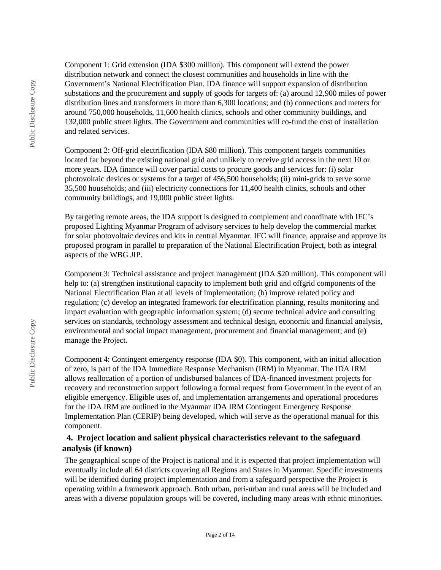Component 1: Grid extension (IDA \$300 million). This component will extend the power distribution network and connect the closest communities and households in line with the Government's National Electrification Plan. IDA finance will support expansion of distribution substations and the procurement and supply of goods for targets of: (a) around 12,900 miles of power distribution lines and transformers in more than 6,300 locations; and (b) connections and meters for around 750,000 households, 11,600 health clinics, schools and other community buildings, and 132,000 public street lights. The Government and communities will co-fund the cost of installation and related services.

Component 2: Off-grid electrification (IDA \$80 million). This component targets communities located far beyond the existing national grid and unlikely to receive grid access in the next 10 or more years. IDA finance will cover partial costs to procure goods and services for: (i) solar photovoltaic devices or systems for a target of 456,500 households; (ii) mini-grids to serve some 35,500 households; and (iii) electricity connections for 11,400 health clinics, schools and other community buildings, and 19,000 public street lights.

By targeting remote areas, the IDA support is designed to complement and coordinate with IFC's proposed Lighting Myanmar Program of advisory services to help develop the commercial market for solar photovoltaic devices and kits in central Myanmar. IFC will finance, appraise and approve its proposed program in parallel to preparation of the National Electrification Project, both as integral aspects of the WBG JIP.

Component 3: Technical assistance and project management (IDA \$20 million). This component will help to: (a) strengthen institutional capacity to implement both grid and offgrid components of the National Electrification Plan at all levels of implementation; (b) improve related policy and regulation; (c) develop an integrated framework for electrification planning, results monitoring and impact evaluation with geographic information system; (d) secure technical advice and consulting services on standards, technology assessment and technical design, economic and financial analysis, environmental and social impact management, procurement and financial management; and (e) manage the Project.

Component 4: Contingent emergency response (IDA \$0). This component, with an initial allocation of zero, is part of the IDA Immediate Response Mechanism (IRM) in Myanmar. The IDA IRM allows reallocation of a portion of undisbursed balances of IDA-financed investment projects for recovery and reconstruction support following a formal request from Government in the event of an eligible emergency. Eligible uses of, and implementation arrangements and operational procedures for the IDA IRM are outlined in the Myanmar IDA IRM Contingent Emergency Response Implementation Plan (CERIP) being developed, which will serve as the operational manual for this component.

#### **4. Project location and salient physical characteristics relevant to the safeguard analysis (if known)**

The geographical scope of the Project is national and it is expected that project implementation will eventually include all 64 districts covering all Regions and States in Myanmar. Specific investments will be identified during project implementation and from a safeguard perspective the Project is operating within a framework approach. Both urban, peri-urban and rural areas will be included and areas with a diverse population groups will be covered, including many areas with ethnic minorities.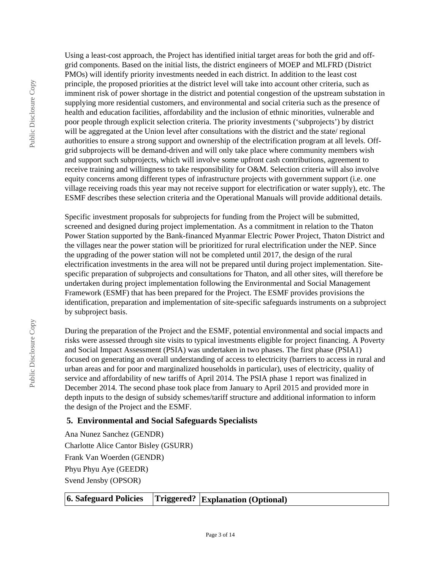Public Disclosure Copy

Using a least-cost approach, the Project has identified initial target areas for both the grid and offgrid components. Based on the initial lists, the district engineers of MOEP and MLFRD (District PMOs) will identify priority investments needed in each district. In addition to the least cost principle, the proposed priorities at the district level will take into account other criteria, such as imminent risk of power shortage in the district and potential congestion of the upstream substation in supplying more residential customers, and environmental and social criteria such as the presence of health and education facilities, affordability and the inclusion of ethnic minorities, vulnerable and poor people through explicit selection criteria. The priority investments ('subprojects') by district will be aggregated at the Union level after consultations with the district and the state/ regional authorities to ensure a strong support and ownership of the electrification program at all levels. Offgrid subprojects will be demand-driven and will only take place where community members wish and support such subprojects, which will involve some upfront cash contributions, agreement to receive training and willingness to take responsibility for O&M. Selection criteria will also involve equity concerns among different types of infrastructure projects with government support (i.e. one village receiving roads this year may not receive support for electrification or water supply), etc. The ESMF describes these selection criteria and the Operational Manuals will provide additional details.

Specific investment proposals for subprojects for funding from the Project will be submitted, screened and designed during project implementation. As a commitment in relation to the Thaton Power Station supported by the Bank-financed Myanmar Electric Power Project, Thaton District and the villages near the power station will be prioritized for rural electrification under the NEP. Since the upgrading of the power station will not be completed until 2017, the design of the rural electrification investments in the area will not be prepared until during project implementation. Sitespecific preparation of subprojects and consultations for Thaton, and all other sites, will therefore be undertaken during project implementation following the Environmental and Social Management Framework (ESMF) that has been prepared for the Project. The ESMF provides provisions the identification, preparation and implementation of site-specific safeguards instruments on a subproject by subproject basis.

During the preparation of the Project and the ESMF, potential environmental and social impacts and risks were assessed through site visits to typical investments eligible for project financing. A Poverty and Social Impact Assessment (PSIA) was undertaken in two phases. The first phase (PSIA1) focused on generating an overall understanding of access to electricity (barriers to access in rural and urban areas and for poor and marginalized households in particular), uses of electricity, quality of service and affordability of new tariffs of April 2014. The PSIA phase 1 report was finalized in December 2014. The second phase took place from January to April 2015 and provided more in depth inputs to the design of subsidy schemes/tariff structure and additional information to inform the design of the Project and the ESMF.

## **5. Environmental and Social Safeguards Specialists**

Ana Nunez Sanchez (GENDR) Charlotte Alice Cantor Bisley (GSURR) Frank Van Woerden (GENDR) Phyu Phyu Aye (GEEDR) Svend Jensby (OPSOR)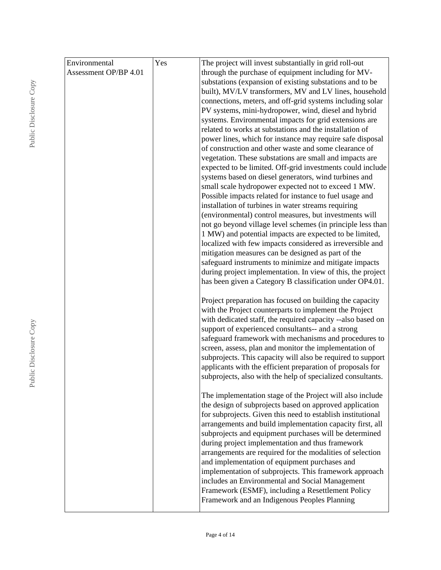| Environmental         | Yes | The project will invest substantially in grid roll-out      |
|-----------------------|-----|-------------------------------------------------------------|
| Assessment OP/BP 4.01 |     | through the purchase of equipment including for MV-         |
|                       |     | substations (expansion of existing substations and to be    |
|                       |     | built), MV/LV transformers, MV and LV lines, household      |
|                       |     | connections, meters, and off-grid systems including solar   |
|                       |     | PV systems, mini-hydropower, wind, diesel and hybrid        |
|                       |     | systems. Environmental impacts for grid extensions are      |
|                       |     | related to works at substations and the installation of     |
|                       |     | power lines, which for instance may require safe disposal   |
|                       |     | of construction and other waste and some clearance of       |
|                       |     | vegetation. These substations are small and impacts are     |
|                       |     | expected to be limited. Off-grid investments could include  |
|                       |     | systems based on diesel generators, wind turbines and       |
|                       |     | small scale hydropower expected not to exceed 1 MW.         |
|                       |     | Possible impacts related for instance to fuel usage and     |
|                       |     | installation of turbines in water streams requiring         |
|                       |     | (environmental) control measures, but investments will      |
|                       |     | not go beyond village level schemes (in principle less than |
|                       |     | 1 MW) and potential impacts are expected to be limited,     |
|                       |     | localized with few impacts considered as irreversible and   |
|                       |     | mitigation measures can be designed as part of the          |
|                       |     | safeguard instruments to minimize and mitigate impacts      |
|                       |     | during project implementation. In view of this, the project |
|                       |     | has been given a Category B classification under OP4.01.    |
|                       |     | Project preparation has focused on building the capacity    |
|                       |     | with the Project counterparts to implement the Project      |
|                       |     | with dedicated staff, the required capacity --also based on |
|                       |     | support of experienced consultants-- and a strong           |
|                       |     | safeguard framework with mechanisms and procedures to       |
|                       |     | screen, assess, plan and monitor the implementation of      |
|                       |     | subprojects. This capacity will also be required to support |
|                       |     | applicants with the efficient preparation of proposals for  |
|                       |     | subprojects, also with the help of specialized consultants. |
|                       |     |                                                             |
|                       |     | The implementation stage of the Project will also include   |
|                       |     | the design of subprojects based on approved application     |
|                       |     | for subprojects. Given this need to establish institutional |
|                       |     | arrangements and build implementation capacity first, all   |
|                       |     | subprojects and equipment purchases will be determined      |
|                       |     | during project implementation and thus framework            |
|                       |     | arrangements are required for the modalities of selection   |
|                       |     | and implementation of equipment purchases and               |
|                       |     | implementation of subprojects. This framework approach      |
|                       |     | includes an Environmental and Social Management             |
|                       |     | Framework (ESMF), including a Resettlement Policy           |
|                       |     | Framework and an Indigenous Peoples Planning                |
|                       |     |                                                             |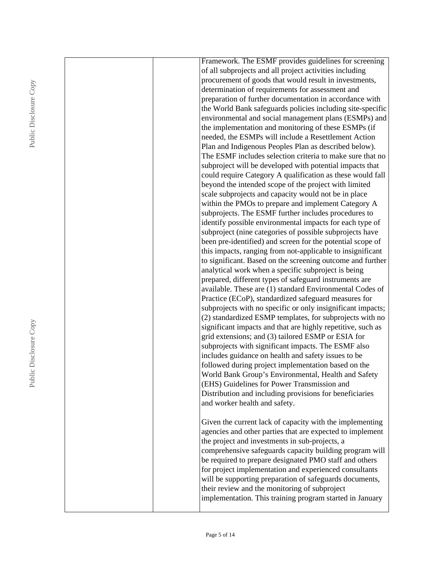|  | Framework. The ESMF provides guidelines for screening                                                                   |
|--|-------------------------------------------------------------------------------------------------------------------------|
|  | of all subprojects and all project activities including                                                                 |
|  | procurement of goods that would result in investments,                                                                  |
|  | determination of requirements for assessment and                                                                        |
|  | preparation of further documentation in accordance with                                                                 |
|  | the World Bank safeguards policies including site-specific                                                              |
|  | environmental and social management plans (ESMPs) and                                                                   |
|  | the implementation and monitoring of these ESMPs (if                                                                    |
|  | needed, the ESMPs will include a Resettlement Action                                                                    |
|  | Plan and Indigenous Peoples Plan as described below).                                                                   |
|  | The ESMF includes selection criteria to make sure that no                                                               |
|  | subproject will be developed with potential impacts that                                                                |
|  | could require Category A qualification as these would fall                                                              |
|  | beyond the intended scope of the project with limited                                                                   |
|  | scale subprojects and capacity would not be in place                                                                    |
|  | within the PMOs to prepare and implement Category A                                                                     |
|  | subprojects. The ESMF further includes procedures to                                                                    |
|  | identify possible environmental impacts for each type of                                                                |
|  | subproject (nine categories of possible subprojects have                                                                |
|  | been pre-identified) and screen for the potential scope of                                                              |
|  | this impacts, ranging from not-applicable to insignificant                                                              |
|  | to significant. Based on the screening outcome and further                                                              |
|  | analytical work when a specific subproject is being                                                                     |
|  | prepared, different types of safeguard instruments are                                                                  |
|  | available. These are (1) standard Environmental Codes of                                                                |
|  | Practice (ECoP), standardized safeguard measures for                                                                    |
|  | subprojects with no specific or only insignificant impacts;<br>(2) standardized ESMP templates, for subprojects with no |
|  | significant impacts and that are highly repetitive, such as                                                             |
|  | grid extensions; and (3) tailored ESMP or ESIA for                                                                      |
|  | subprojects with significant impacts. The ESMF also                                                                     |
|  | includes guidance on health and safety issues to be                                                                     |
|  | followed during project implementation based on the                                                                     |
|  | World Bank Group's Environmental, Health and Safety                                                                     |
|  | (EHS) Guidelines for Power Transmission and                                                                             |
|  | Distribution and including provisions for beneficiaries                                                                 |
|  | and worker health and safety.                                                                                           |
|  |                                                                                                                         |
|  | Given the current lack of capacity with the implementing                                                                |
|  | agencies and other parties that are expected to implement                                                               |
|  | the project and investments in sub-projects, a                                                                          |
|  | comprehensive safeguards capacity building program will                                                                 |
|  | be required to prepare designated PMO staff and others                                                                  |
|  | for project implementation and experienced consultants                                                                  |
|  | will be supporting preparation of safeguards documents,                                                                 |
|  | their review and the monitoring of subproject                                                                           |
|  | implementation. This training program started in January                                                                |
|  |                                                                                                                         |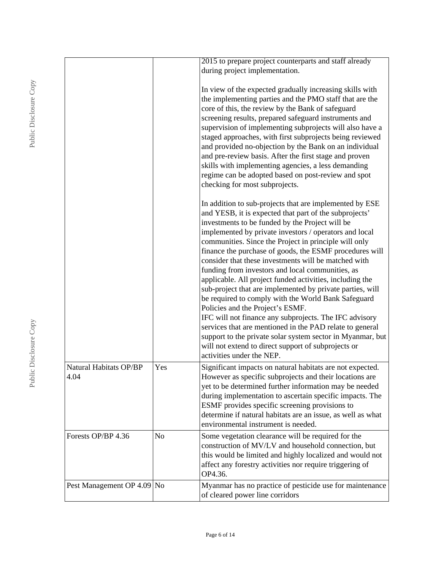|                                |     | 2015 to prepare project counterparts and staff already<br>during project implementation.                                                                                                                                                                                                                                                                                                                                                                                                                                                                                                                                                                                                                                                                                                                                                                                                                                                                   |
|--------------------------------|-----|------------------------------------------------------------------------------------------------------------------------------------------------------------------------------------------------------------------------------------------------------------------------------------------------------------------------------------------------------------------------------------------------------------------------------------------------------------------------------------------------------------------------------------------------------------------------------------------------------------------------------------------------------------------------------------------------------------------------------------------------------------------------------------------------------------------------------------------------------------------------------------------------------------------------------------------------------------|
|                                |     | In view of the expected gradually increasing skills with<br>the implementing parties and the PMO staff that are the<br>core of this, the review by the Bank of safeguard<br>screening results, prepared safeguard instruments and<br>supervision of implementing subprojects will also have a<br>staged approaches, with first subprojects being reviewed<br>and provided no-objection by the Bank on an individual<br>and pre-review basis. After the first stage and proven<br>skills with implementing agencies, a less demanding<br>regime can be adopted based on post-review and spot<br>checking for most subprojects.                                                                                                                                                                                                                                                                                                                              |
|                                |     | In addition to sub-projects that are implemented by ESE<br>and YESB, it is expected that part of the subprojects'<br>investments to be funded by the Project will be<br>implemented by private investors / operators and local<br>communities. Since the Project in principle will only<br>finance the purchase of goods, the ESMF procedures will<br>consider that these investments will be matched with<br>funding from investors and local communities, as<br>applicable. All project funded activities, including the<br>sub-project that are implemented by private parties, will<br>be required to comply with the World Bank Safeguard<br>Policies and the Project's ESMF.<br>IFC will not finance any subprojects. The IFC advisory<br>services that are mentioned in the PAD relate to general<br>support to the private solar system sector in Myanmar, but<br>will not extend to direct support of subprojects or<br>activities under the NEP. |
| Natural Habitats OP/BP<br>4.04 | Yes | Significant impacts on natural habitats are not expected.<br>However as specific subprojects and their locations are<br>yet to be determined further information may be needed<br>during implementation to ascertain specific impacts. The<br>ESMF provides specific screening provisions to<br>determine if natural habitats are an issue, as well as what<br>environmental instrument is needed.                                                                                                                                                                                                                                                                                                                                                                                                                                                                                                                                                         |
| Forests OP/BP 4.36             | No  | Some vegetation clearance will be required for the<br>construction of MV/LV and household connection, but<br>this would be limited and highly localized and would not<br>affect any forestry activities nor require triggering of<br>OP4.36.                                                                                                                                                                                                                                                                                                                                                                                                                                                                                                                                                                                                                                                                                                               |
| Pest Management OP 4.09 No     |     | Myanmar has no practice of pesticide use for maintenance<br>of cleared power line corridors                                                                                                                                                                                                                                                                                                                                                                                                                                                                                                                                                                                                                                                                                                                                                                                                                                                                |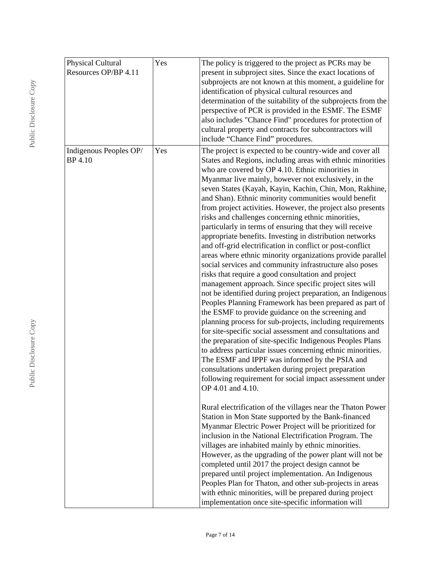| Physical Cultural<br>Resources OP/BP 4.11 | Yes | The policy is triggered to the project as PCRs may be<br>present in subproject sites. Since the exact locations of<br>subprojects are not known at this moment, a guideline for<br>identification of physical cultural resources and<br>determination of the suitability of the subprojects from the<br>perspective of PCR is provided in the ESMF. The ESMF<br>also includes "Chance Find" procedures for protection of<br>cultural property and contracts for subcontractors will<br>include "Chance Find" procedures.                                                                                                                                                                                                                                                                                                                                                                                                                                                                                                                                                                                                                                                                                                                                                                                                                                                                                                                                                                                                                                                                                                                                                                                                                                                                                                                |
|-------------------------------------------|-----|-----------------------------------------------------------------------------------------------------------------------------------------------------------------------------------------------------------------------------------------------------------------------------------------------------------------------------------------------------------------------------------------------------------------------------------------------------------------------------------------------------------------------------------------------------------------------------------------------------------------------------------------------------------------------------------------------------------------------------------------------------------------------------------------------------------------------------------------------------------------------------------------------------------------------------------------------------------------------------------------------------------------------------------------------------------------------------------------------------------------------------------------------------------------------------------------------------------------------------------------------------------------------------------------------------------------------------------------------------------------------------------------------------------------------------------------------------------------------------------------------------------------------------------------------------------------------------------------------------------------------------------------------------------------------------------------------------------------------------------------------------------------------------------------------------------------------------------------|
| Indigenous Peoples OP/<br>BP 4.10         | Yes | The project is expected to be country-wide and cover all<br>States and Regions, including areas with ethnic minorities<br>who are covered by OP 4.10. Ethnic minorities in<br>Myanmar live mainly, however not exclusively, in the<br>seven States (Kayah, Kayin, Kachin, Chin, Mon, Rakhine,<br>and Shan). Ethnic minority communities would benefit<br>from project activities. However, the project also presents<br>risks and challenges concerning ethnic minorities,<br>particularly in terms of ensuring that they will receive<br>appropriate benefits. Investing in distribution networks<br>and off-grid electrification in conflict or post-conflict<br>areas where ethnic minority organizations provide parallel<br>social services and community infrastructure also poses<br>risks that require a good consultation and project<br>management approach. Since specific project sites will<br>not be identified during project preparation, an Indigenous<br>Peoples Planning Framework has been prepared as part of<br>the ESMF to provide guidance on the screening and<br>planning process for sub-projects, including requirements<br>for site-specific social assessment and consultations and<br>the preparation of site-specific Indigenous Peoples Plans<br>to address particular issues concerning ethnic minorities.<br>The ESMF and IPPF was informed by the PSIA and<br>consultations undertaken during project preparation<br>following requirement for social impact assessment under<br>OP 4.01 and 4.10.<br>Rural electrification of the villages near the Thaton Power<br>Station in Mon State supported by the Bank-financed<br>Myanmar Electric Power Project will be prioritized for<br>inclusion in the National Electrification Program. The<br>villages are inhabited mainly by ethnic minorities. |
|                                           |     | However, as the upgrading of the power plant will not be<br>completed until 2017 the project design cannot be<br>prepared until project implementation. An Indigenous<br>Peoples Plan for Thaton, and other sub-projects in areas<br>with ethnic minorities, will be prepared during project<br>implementation once site-specific information will                                                                                                                                                                                                                                                                                                                                                                                                                                                                                                                                                                                                                                                                                                                                                                                                                                                                                                                                                                                                                                                                                                                                                                                                                                                                                                                                                                                                                                                                                      |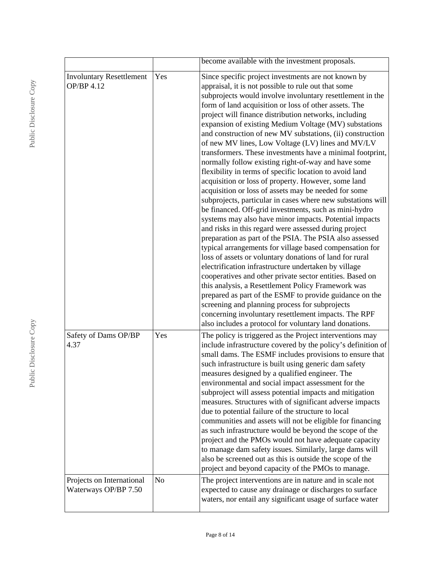|                                                   |                | become available with the investment proposals.                                                                                                                                                                                                                                                                                                                                                                                                                                                                                                                                                                                                                                                                                                                                                                                                                                                                                                                                                                                                                                                                                                                                                                                                                                                                                                                                                                                                                                                                                                                                                         |
|---------------------------------------------------|----------------|---------------------------------------------------------------------------------------------------------------------------------------------------------------------------------------------------------------------------------------------------------------------------------------------------------------------------------------------------------------------------------------------------------------------------------------------------------------------------------------------------------------------------------------------------------------------------------------------------------------------------------------------------------------------------------------------------------------------------------------------------------------------------------------------------------------------------------------------------------------------------------------------------------------------------------------------------------------------------------------------------------------------------------------------------------------------------------------------------------------------------------------------------------------------------------------------------------------------------------------------------------------------------------------------------------------------------------------------------------------------------------------------------------------------------------------------------------------------------------------------------------------------------------------------------------------------------------------------------------|
| <b>Involuntary Resettlement</b><br>OP/BP 4.12     | Yes            | Since specific project investments are not known by<br>appraisal, it is not possible to rule out that some<br>subprojects would involve involuntary resettlement in the<br>form of land acquisition or loss of other assets. The<br>project will finance distribution networks, including<br>expansion of existing Medium Voltage (MV) substations<br>and construction of new MV substations, (ii) construction<br>of new MV lines, Low Voltage (LV) lines and MV/LV<br>transformers. These investments have a minimal footprint,<br>normally follow existing right-of-way and have some<br>flexibility in terms of specific location to avoid land<br>acquisition or loss of property. However, some land<br>acquisition or loss of assets may be needed for some<br>subprojects, particular in cases where new substations will<br>be financed. Off-grid investments, such as mini-hydro<br>systems may also have minor impacts. Potential impacts<br>and risks in this regard were assessed during project<br>preparation as part of the PSIA. The PSIA also assessed<br>typical arrangements for village based compensation for<br>loss of assets or voluntary donations of land for rural<br>electrification infrastructure undertaken by village<br>cooperatives and other private sector entities. Based on<br>this analysis, a Resettlement Policy Framework was<br>prepared as part of the ESMF to provide guidance on the<br>screening and planning process for subprojects<br>concerning involuntary resettlement impacts. The RPF<br>also includes a protocol for voluntary land donations. |
| Safety of Dams OP/BP<br>4.37                      | Yes            | The policy is triggered as the Project interventions may<br>include infrastructure covered by the policy's definition of<br>small dams. The ESMF includes provisions to ensure that<br>such infrastructure is built using generic dam safety<br>measures designed by a qualified engineer. The<br>environmental and social impact assessment for the<br>subproject will assess potential impacts and mitigation<br>measures. Structures with of significant adverse impacts<br>due to potential failure of the structure to local<br>communities and assets will not be eligible for financing<br>as such infrastructure would be beyond the scope of the<br>project and the PMOs would not have adequate capacity<br>to manage dam safety issues. Similarly, large dams will<br>also be screened out as this is outside the scope of the<br>project and beyond capacity of the PMOs to manage.                                                                                                                                                                                                                                                                                                                                                                                                                                                                                                                                                                                                                                                                                                         |
| Projects on International<br>Waterways OP/BP 7.50 | N <sub>o</sub> | The project interventions are in nature and in scale not<br>expected to cause any drainage or discharges to surface<br>waters, nor entail any significant usage of surface water                                                                                                                                                                                                                                                                                                                                                                                                                                                                                                                                                                                                                                                                                                                                                                                                                                                                                                                                                                                                                                                                                                                                                                                                                                                                                                                                                                                                                        |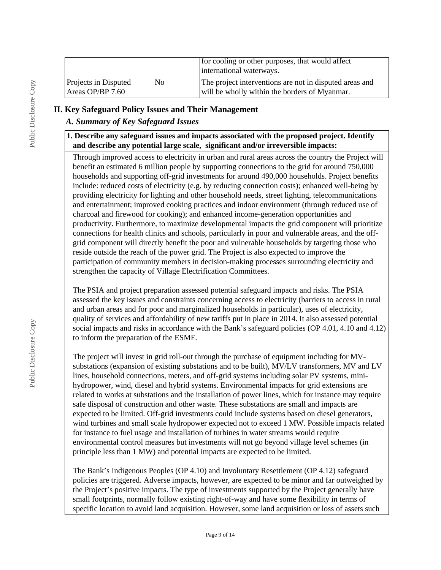|                                                     |                | for cooling or other purposes, that would affect<br>international waterways.                             |
|-----------------------------------------------------|----------------|----------------------------------------------------------------------------------------------------------|
| <b>Projects in Disputed</b><br>$ $ Areas OP/BP 7.60 | N <sub>0</sub> | The project interventions are not in disputed areas and<br>will be wholly within the borders of Myanmar. |

## **II. Key Safeguard Policy Issues and Their Management**

# *A. Summary of Key Safeguard Issues*

#### **1. Describe any safeguard issues and impacts associated with the proposed project. Identify and describe any potential large scale, significant and/or irreversible impacts:**

Through improved access to electricity in urban and rural areas across the country the Project will benefit an estimated 6 million people by supporting connections to the grid for around 750,000 households and supporting off-grid investments for around 490,000 households. Project benefits include: reduced costs of electricity (e.g. by reducing connection costs); enhanced well-being by providing electricity for lighting and other household needs, street lighting, telecommunications and entertainment; improved cooking practices and indoor environment (through reduced use of charcoal and firewood for cooking); and enhanced income-generation opportunities and productivity. Furthermore, to maximize developmental impacts the grid component will prioritize connections for health clinics and schools, particularly in poor and vulnerable areas, and the offgrid component will directly benefit the poor and vulnerable households by targeting those who reside outside the reach of the power grid. The Project is also expected to improve the participation of community members in decision-making processes surrounding electricity and strengthen the capacity of Village Electrification Committees.

The PSIA and project preparation assessed potential safeguard impacts and risks. The PSIA assessed the key issues and constraints concerning access to electricity (barriers to access in rural and urban areas and for poor and marginalized households in particular), uses of electricity, quality of services and affordability of new tariffs put in place in 2014. It also assessed potential social impacts and risks in accordance with the Bank's safeguard policies (OP 4.01, 4.10 and 4.12) to inform the preparation of the ESMF.

The project will invest in grid roll-out through the purchase of equipment including for MVsubstations (expansion of existing substations and to be built), MV/LV transformers, MV and LV lines, household connections, meters, and off-grid systems including solar PV systems, minihydropower, wind, diesel and hybrid systems. Environmental impacts for grid extensions are related to works at substations and the installation of power lines, which for instance may require safe disposal of construction and other waste. These substations are small and impacts are expected to be limited. Off-grid investments could include systems based on diesel generators, wind turbines and small scale hydropower expected not to exceed 1 MW. Possible impacts related for instance to fuel usage and installation of turbines in water streams would require environmental control measures but investments will not go beyond village level schemes (in principle less than 1 MW) and potential impacts are expected to be limited.

The Bank's Indigenous Peoples (OP 4.10) and Involuntary Resettlement (OP 4.12) safeguard policies are triggered. Adverse impacts, however, are expected to be minor and far outweighed by the Project's positive impacts. The type of investments supported by the Project generally have small footprints, normally follow existing right-of-way and have some flexibility in terms of specific location to avoid land acquisition. However, some land acquisition or loss of assets such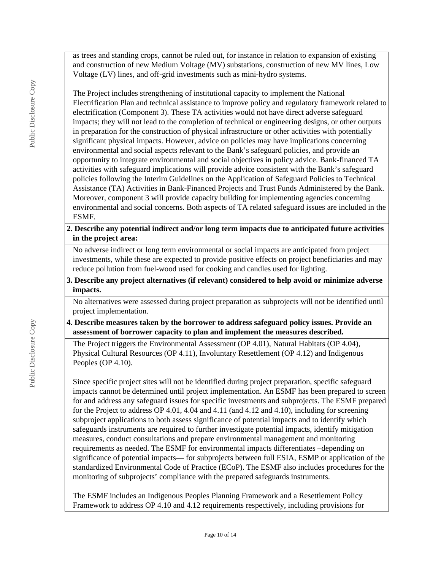as trees and standing crops, cannot be ruled out, for instance in relation to expansion of existing and construction of new Medium Voltage (MV) substations, construction of new MV lines, Low Voltage (LV) lines, and off-grid investments such as mini-hydro systems.

The Project includes strengthening of institutional capacity to implement the National Electrification Plan and technical assistance to improve policy and regulatory framework related to electrification (Component 3). These TA activities would not have direct adverse safeguard impacts; they will not lead to the completion of technical or engineering designs, or other outputs in preparation for the construction of physical infrastructure or other activities with potentially significant physical impacts. However, advice on policies may have implications concerning environmental and social aspects relevant to the Bank's safeguard policies, and provide an opportunity to integrate environmental and social objectives in policy advice. Bank-financed TA activities with safeguard implications will provide advice consistent with the Bank's safeguard policies following the Interim Guidelines on the Application of Safeguard Policies to Technical Assistance (TA) Activities in Bank-Financed Projects and Trust Funds Administered by the Bank. Moreover, component 3 will provide capacity building for implementing agencies concerning environmental and social concerns. Both aspects of TA related safeguard issues are included in the ESMF.

**2. Describe any potential indirect and/or long term impacts due to anticipated future activities in the project area:**

No adverse indirect or long term environmental or social impacts are anticipated from project investments, while these are expected to provide positive effects on project beneficiaries and may reduce pollution from fuel-wood used for cooking and candles used for lighting.

**3. Describe any project alternatives (if relevant) considered to help avoid or minimize adverse impacts.**

No alternatives were assessed during project preparation as subprojects will not be identified until project implementation.

#### **4. Describe measures taken by the borrower to address safeguard policy issues. Provide an assessment of borrower capacity to plan and implement the measures described.**

The Project triggers the Environmental Assessment (OP 4.01), Natural Habitats (OP 4.04), Physical Cultural Resources (OP 4.11), Involuntary Resettlement (OP 4.12) and Indigenous Peoples (OP 4.10).

Since specific project sites will not be identified during project preparation, specific safeguard impacts cannot be determined until project implementation. An ESMF has been prepared to screen for and address any safeguard issues for specific investments and subprojects. The ESMF prepared for the Project to address OP 4.01, 4.04 and 4.11 (and 4.12 and 4.10), including for screening subproject applications to both assess significance of potential impacts and to identify which safeguards instruments are required to further investigate potential impacts, identify mitigation measures, conduct consultations and prepare environmental management and monitoring requirements as needed. The ESMF for environmental impacts differentiates –depending on significance of potential impacts— for subprojects between full ESIA, ESMP or application of the standardized Environmental Code of Practice (ECoP). The ESMF also includes procedures for the monitoring of subprojects' compliance with the prepared safeguards instruments.

The ESMF includes an Indigenous Peoples Planning Framework and a Resettlement Policy Framework to address OP 4.10 and 4.12 requirements respectively, including provisions for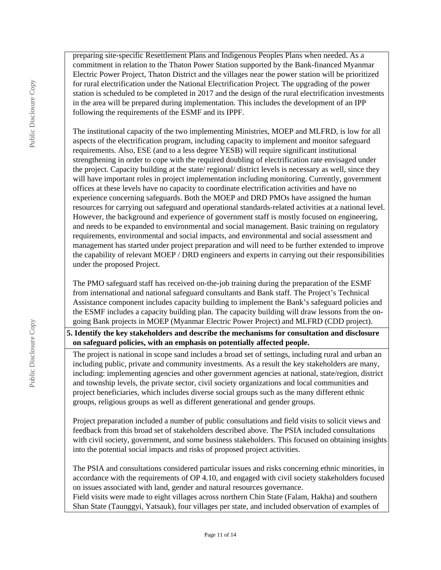preparing site-specific Resettlement Plans and Indigenous Peoples Plans when needed. As a commitment in relation to the Thaton Power Station supported by the Bank-financed Myanmar Electric Power Project, Thaton District and the villages near the power station will be prioritized for rural electrification under the National Electrification Project. The upgrading of the power station is scheduled to be completed in 2017 and the design of the rural electrification investments in the area will be prepared during implementation. This includes the development of an IPP following the requirements of the ESMF and its IPPF.

The institutional capacity of the two implementing Ministries, MOEP and MLFRD, is low for all aspects of the electrification program, including capacity to implement and monitor safeguard requirements. Also, ESE (and to a less degree YESB) will require significant institutional strengthening in order to cope with the required doubling of electrification rate envisaged under the project. Capacity building at the state/ regional/ district levels is necessary as well, since they will have important roles in project implementation including monitoring. Currently, government offices at these levels have no capacity to coordinate electrification activities and have no experience concerning safeguards. Both the MOEP and DRD PMOs have assigned the human resources for carrying out safeguard and operational standards-related activities at a national level. However, the background and experience of government staff is mostly focused on engineering, and needs to be expanded to environmental and social management. Basic training on regulatory requirements, environmental and social impacts, and environmental and social assessment and management has started under project preparation and will need to be further extended to improve the capability of relevant MOEP / DRD engineers and experts in carrying out their responsibilities under the proposed Project.

The PMO safeguard staff has received on-the-job training during the preparation of the ESMF from international and national safeguard consultants and Bank staff. The Project's Technical Assistance component includes capacity building to implement the Bank's safeguard policies and the ESMF includes a capacity building plan. The capacity building will draw lessons from the ongoing Bank projects in MOEP (Myanmar Electric Power Project) and MLFRD (CDD project).

**5. Identify the key stakeholders and describe the mechanisms for consultation and disclosure on safeguard policies, with an emphasis on potentially affected people.**

The project is national in scope sand includes a broad set of settings, including rural and urban an including public, private and community investments. As a result the key stakeholders are many, including: implementing agencies and other government agencies at national, state/region, district and township levels, the private sector, civil society organizations and local communities and project beneficiaries, which includes diverse social groups such as the many different ethnic groups, religious groups as well as different generational and gender groups.

Project preparation included a number of public consultations and field visits to solicit views and feedback from this broad set of stakeholders described above. The PSIA included consultations with civil society, government, and some business stakeholders. This focused on obtaining insights into the potential social impacts and risks of proposed project activities.

The PSIA and consultations considered particular issues and risks concerning ethnic minorities, in accordance with the requirements of OP 4.10, and engaged with civil society stakeholders focused on issues associated with land, gender and natural resources governance.

Field visits were made to eight villages across northern Chin State (Falam, Hakha) and southern Shan State (Taunggyi, Yatsauk), four villages per state, and included observation of examples of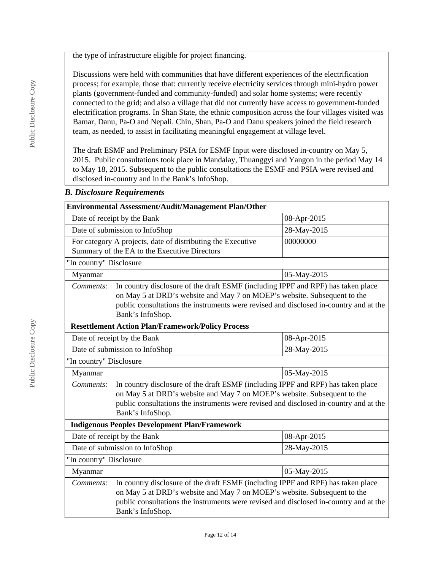the type of infrastructure eligible for project financing.

Discussions were held with communities that have different experiences of the electrification process; for example, those that: currently receive electricity services through mini-hydro power plants (government-funded and community-funded) and solar home systems; were recently connected to the grid; and also a village that did not currently have access to government-funded electrification programs. In Shan State, the ethnic composition across the four villages visited was Bamar, Danu, Pa-O and Nepali. Chin, Shan, Pa-O and Danu speakers joined the field research team, as needed, to assist in facilitating meaningful engagement at village level.

The draft ESMF and Preliminary PSIA for ESMF Input were disclosed in-country on May 5, 2015. Public consultations took place in Mandalay, Thuanggyi and Yangon in the period May 14 to May 18, 2015. Subsequent to the public consultations the ESMF and PSIA were revised and disclosed in-country and in the Bank's InfoShop.

#### *B. Disclosure Requirements*

|                                                                                                                                                                                                                                                                                        | Environmental Assessment/Audit/Management Plan/Other                                                        |             |  |  |  |
|----------------------------------------------------------------------------------------------------------------------------------------------------------------------------------------------------------------------------------------------------------------------------------------|-------------------------------------------------------------------------------------------------------------|-------------|--|--|--|
|                                                                                                                                                                                                                                                                                        | Date of receipt by the Bank                                                                                 | 08-Apr-2015 |  |  |  |
|                                                                                                                                                                                                                                                                                        | Date of submission to InfoShop                                                                              | 28-May-2015 |  |  |  |
|                                                                                                                                                                                                                                                                                        | For category A projects, date of distributing the Executive<br>Summary of the EA to the Executive Directors | 00000000    |  |  |  |
| "In country" Disclosure                                                                                                                                                                                                                                                                |                                                                                                             |             |  |  |  |
| Myanmar                                                                                                                                                                                                                                                                                |                                                                                                             | 05-May-2015 |  |  |  |
| In country disclosure of the draft ESMF (including IPPF and RPF) has taken place<br>Comments:<br>on May 5 at DRD's website and May 7 on MOEP's website. Subsequent to the<br>public consultations the instruments were revised and disclosed in-country and at the<br>Bank's InfoShop. |                                                                                                             |             |  |  |  |
|                                                                                                                                                                                                                                                                                        | <b>Resettlement Action Plan/Framework/Policy Process</b>                                                    |             |  |  |  |
| Date of receipt by the Bank<br>08-Apr-2015                                                                                                                                                                                                                                             |                                                                                                             |             |  |  |  |
| Date of submission to InfoShop<br>28-May-2015                                                                                                                                                                                                                                          |                                                                                                             |             |  |  |  |
|                                                                                                                                                                                                                                                                                        | "In country" Disclosure                                                                                     |             |  |  |  |
| Myanmar<br>05-May-2015                                                                                                                                                                                                                                                                 |                                                                                                             |             |  |  |  |
| In country disclosure of the draft ESMF (including IPPF and RPF) has taken place<br>Comments:<br>on May 5 at DRD's website and May 7 on MOEP's website. Subsequent to the<br>public consultations the instruments were revised and disclosed in-country and at the<br>Bank's InfoShop. |                                                                                                             |             |  |  |  |
| <b>Indigenous Peoples Development Plan/Framework</b>                                                                                                                                                                                                                                   |                                                                                                             |             |  |  |  |
|                                                                                                                                                                                                                                                                                        | Date of receipt by the Bank                                                                                 | 08-Apr-2015 |  |  |  |
| Date of submission to InfoShop<br>28-May-2015                                                                                                                                                                                                                                          |                                                                                                             |             |  |  |  |
| "In country" Disclosure                                                                                                                                                                                                                                                                |                                                                                                             |             |  |  |  |
| 05-May-2015<br>Myanmar                                                                                                                                                                                                                                                                 |                                                                                                             |             |  |  |  |
| In country disclosure of the draft ESMF (including IPPF and RPF) has taken place<br>Comments:<br>on May 5 at DRD's website and May 7 on MOEP's website. Subsequent to the<br>public consultations the instruments were revised and disclosed in-country and at the<br>Bank's InfoShop. |                                                                                                             |             |  |  |  |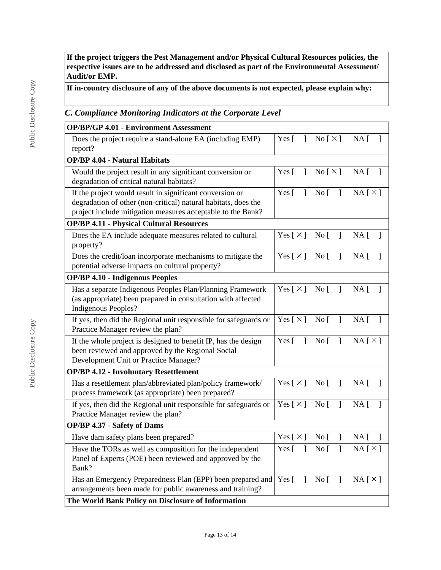**If the project triggers the Pest Management and/or Physical Cultural Resources policies, the respective issues are to be addressed and disclosed as part of the Environmental Assessment/ Audit/or EMP.**

**If in-country disclosure of any of the above documents is not expected, please explain why:**

# *C. Compliance Monitoring Indicators at the Corporate Level*

| <b>OP/BP/GP 4.01 - Environment Assessment</b>                                                                                                                                             |                               |                                          |                 |
|-------------------------------------------------------------------------------------------------------------------------------------------------------------------------------------------|-------------------------------|------------------------------------------|-----------------|
| Does the project require a stand-alone EA (including EMP)<br>report?                                                                                                                      | Yes $\lceil$<br>$\mathbf{1}$  | $\text{No} \restriction \times \text{)}$ | $NA \lceil$     |
| <b>OP/BP 4.04 - Natural Habitats</b>                                                                                                                                                      |                               |                                          |                 |
| Would the project result in any significant conversion or<br>degradation of critical natural habitats?                                                                                    | Yes $\lceil$<br>1             | $\rm No$ [ $\times$ ]                    | $NA$ [ ]        |
| If the project would result in significant conversion or<br>degradation of other (non-critical) natural habitats, does the<br>project include mitigation measures acceptable to the Bank? | Yes $\lceil$<br>1             | $\overline{N}$ o<br>$\mathbf{I}$         | $NA [ \times ]$ |
| <b>OP/BP 4.11 - Physical Cultural Resources</b>                                                                                                                                           |                               |                                          |                 |
| Does the EA include adequate measures related to cultural<br>property?                                                                                                                    |                               | Yes $[\times]$ No $[\ ]$                 | NA <sub>1</sub> |
| Does the credit/loan incorporate mechanisms to mitigate the<br>potential adverse impacts on cultural property?                                                                            | Yes $[\times]$ No $[\ ]$      |                                          | NA <sub>1</sub> |
| <b>OP/BP 4.10 - Indigenous Peoples</b>                                                                                                                                                    |                               |                                          |                 |
| Has a separate Indigenous Peoples Plan/Planning Framework<br>(as appropriate) been prepared in consultation with affected<br>Indigenous Peoples?                                          |                               | $Yes [ \times ] No [ ] NA [$             | $\mathbf{1}$    |
| If yes, then did the Regional unit responsible for safeguards or<br>Practice Manager review the plan?                                                                                     | $Yes \, [ \times ] No \, [ ]$ |                                          | $NA$ [ ]        |
| If the whole project is designed to benefit IP, has the design<br>been reviewed and approved by the Regional Social<br>Development Unit or Practice Manager?                              | Yes $\lceil$<br>$\mathbf{1}$  | $\overline{N}$ o<br>$\mathbf{I}$         | $NA [ \times ]$ |
| <b>OP/BP 4.12 - Involuntary Resettlement</b>                                                                                                                                              |                               |                                          |                 |
| Has a resettlement plan/abbreviated plan/policy framework/<br>process framework (as appropriate) been prepared?                                                                           | Yes [ $\times$ ]              | No [<br>$\mathbf{I}$                     | $NA$ [          |
| If yes, then did the Regional unit responsible for safeguards or<br>Practice Manager review the plan?                                                                                     | Yes [ $\times$ ]              | $\overline{N}$ o<br>1                    | NA <sub>1</sub> |
| <b>OP/BP 4.37 - Safety of Dams</b>                                                                                                                                                        |                               |                                          |                 |
| Have dam safety plans been prepared?                                                                                                                                                      | Yes [ $\times$ ]              | No <sub>1</sub>                          | NA <sub>1</sub> |
| Have the TORs as well as composition for the independent<br>Panel of Experts (POE) been reviewed and approved by the<br>Bank?                                                             |                               | Yes [ ] No [ ] NA $[\times]$             |                 |
| Has an Emergency Preparedness Plan (EPP) been prepared and<br>arrangements been made for public awareness and training?                                                                   | Yes [ ]                       | No [ ] NA $[\times]$                     |                 |
| The World Bank Policy on Disclosure of Information                                                                                                                                        |                               |                                          |                 |